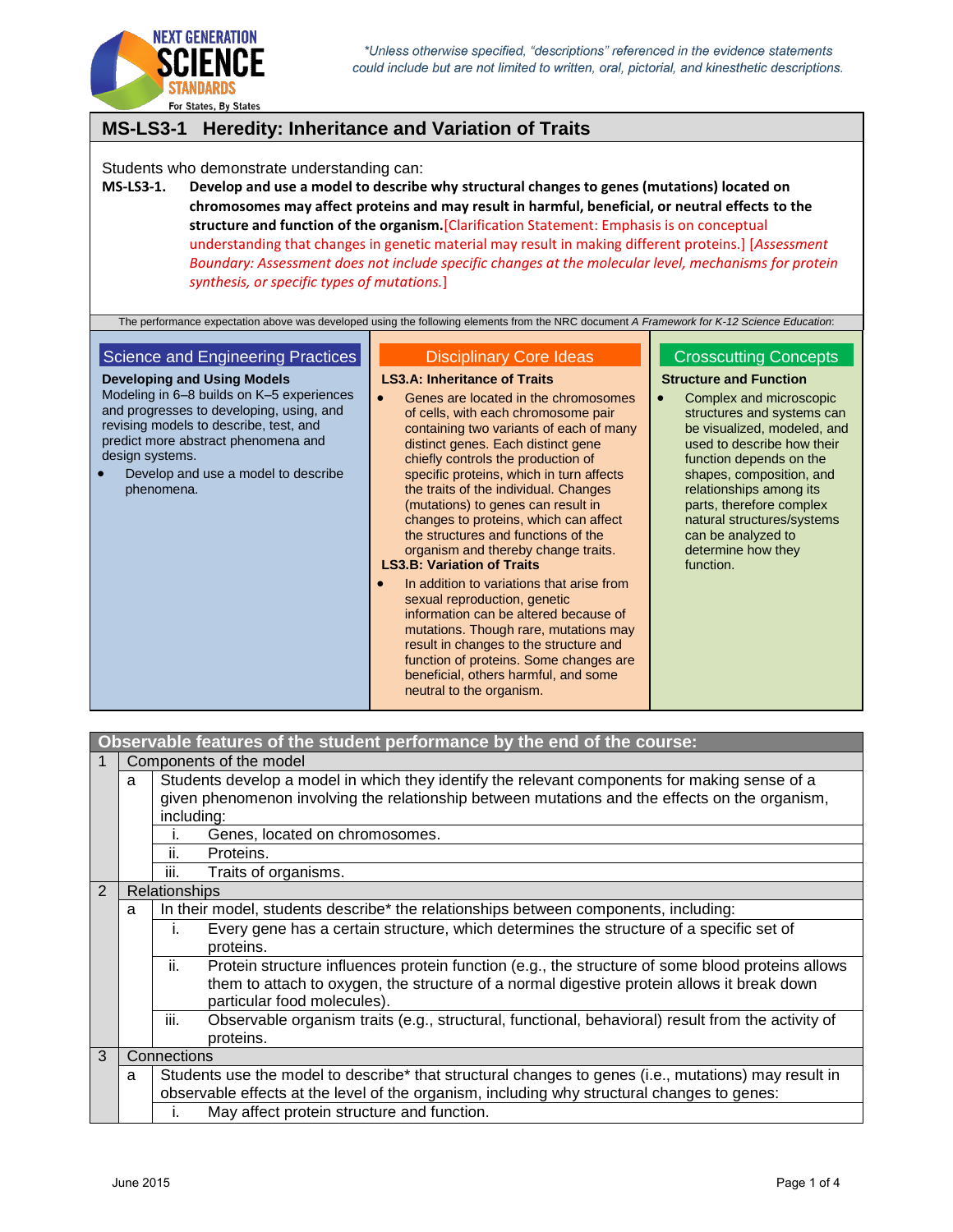

# **MS-LS3-1 Heredity: Inheritance and Variation of Traits**

Students who demonstrate understanding can:

**MS-LS3-1. Develop and use a model to describe why structural changes to genes (mutations) located on chromosomes may affect proteins and may result in harmful, beneficial, or neutral effects to the structure and function of the organism.**[Clarification Statement: Emphasis is on conceptual understanding that changes in genetic material may result in making different proteins.] [*Assessment Boundary: Assessment does not include specific changes at the molecular level, mechanisms for protein synthesis, or specific types of mutations.*]

The performance expectation above was developed using the following elements from the NRC document *A Framework for K-12 Science Education*:

### Science and Engineering Practices

**Developing and Using Models** Modeling in 6–8 builds on K–5 experiences and progresses to developing, using, and revising models to describe, test, and predict more abstract phenomena and design systems.

 Develop and use a model to describe phenomena.

## Disciplinary Core Ideas

**LS3.A: Inheritance of Traits**

- **•** Genes are located in the chromosomes of cells, with each chromosome pair containing two variants of each of many distinct genes. Each distinct gene chiefly controls the production of specific proteins, which in turn affects the traits of the individual. Changes (mutations) to genes can result in changes to proteins, which can affect the structures and functions of the organism and thereby change traits. **LS3.B: Variation of Traits**
- In addition to variations that arise from sexual reproduction, genetic information can be altered because of mutations. Though rare, mutations may result in changes to the structure and function of proteins. Some changes are beneficial, others harmful, and some neutral to the organism.

#### Crosscutting Concepts

**Structure and Function**

• Complex and microscopic structures and systems can be visualized, modeled, and used to describe how their function depends on the shapes, composition, and relationships among its parts, therefore complex natural structures/systems can be analyzed to determine how they function.

| Components of the model                                                                                                                                                                              |                                                                                                                                                                                                                                      |  |  |  |
|------------------------------------------------------------------------------------------------------------------------------------------------------------------------------------------------------|--------------------------------------------------------------------------------------------------------------------------------------------------------------------------------------------------------------------------------------|--|--|--|
| Students develop a model in which they identify the relevant components for making sense of a<br>a<br>given phenomenon involving the relationship between mutations and the effects on the organism, |                                                                                                                                                                                                                                      |  |  |  |
|                                                                                                                                                                                                      | including:                                                                                                                                                                                                                           |  |  |  |
|                                                                                                                                                                                                      | Genes, located on chromosomes.<br>ı.                                                                                                                                                                                                 |  |  |  |
| ii.<br>Proteins.                                                                                                                                                                                     |                                                                                                                                                                                                                                      |  |  |  |
|                                                                                                                                                                                                      | iii.<br>Traits of organisms.                                                                                                                                                                                                         |  |  |  |
| Relationships                                                                                                                                                                                        |                                                                                                                                                                                                                                      |  |  |  |
| a                                                                                                                                                                                                    | In their model, students describe* the relationships between components, including:                                                                                                                                                  |  |  |  |
|                                                                                                                                                                                                      | Every gene has a certain structure, which determines the structure of a specific set of<br>i.<br>proteins.                                                                                                                           |  |  |  |
|                                                                                                                                                                                                      | Protein structure influences protein function (e.g., the structure of some blood proteins allows<br>ii.<br>them to attach to oxygen, the structure of a normal digestive protein allows it break down<br>particular food molecules). |  |  |  |
|                                                                                                                                                                                                      | iii.<br>Observable organism traits (e.g., structural, functional, behavioral) result from the activity of<br>proteins.                                                                                                               |  |  |  |
|                                                                                                                                                                                                      | Connections                                                                                                                                                                                                                          |  |  |  |
| Students use the model to describe* that structural changes to genes (i.e., mutations) may result in<br>a                                                                                            |                                                                                                                                                                                                                                      |  |  |  |
| observable effects at the level of the organism, including why structural changes to genes:                                                                                                          |                                                                                                                                                                                                                                      |  |  |  |
|                                                                                                                                                                                                      | May affect protein structure and function.<br>i.                                                                                                                                                                                     |  |  |  |
|                                                                                                                                                                                                      |                                                                                                                                                                                                                                      |  |  |  |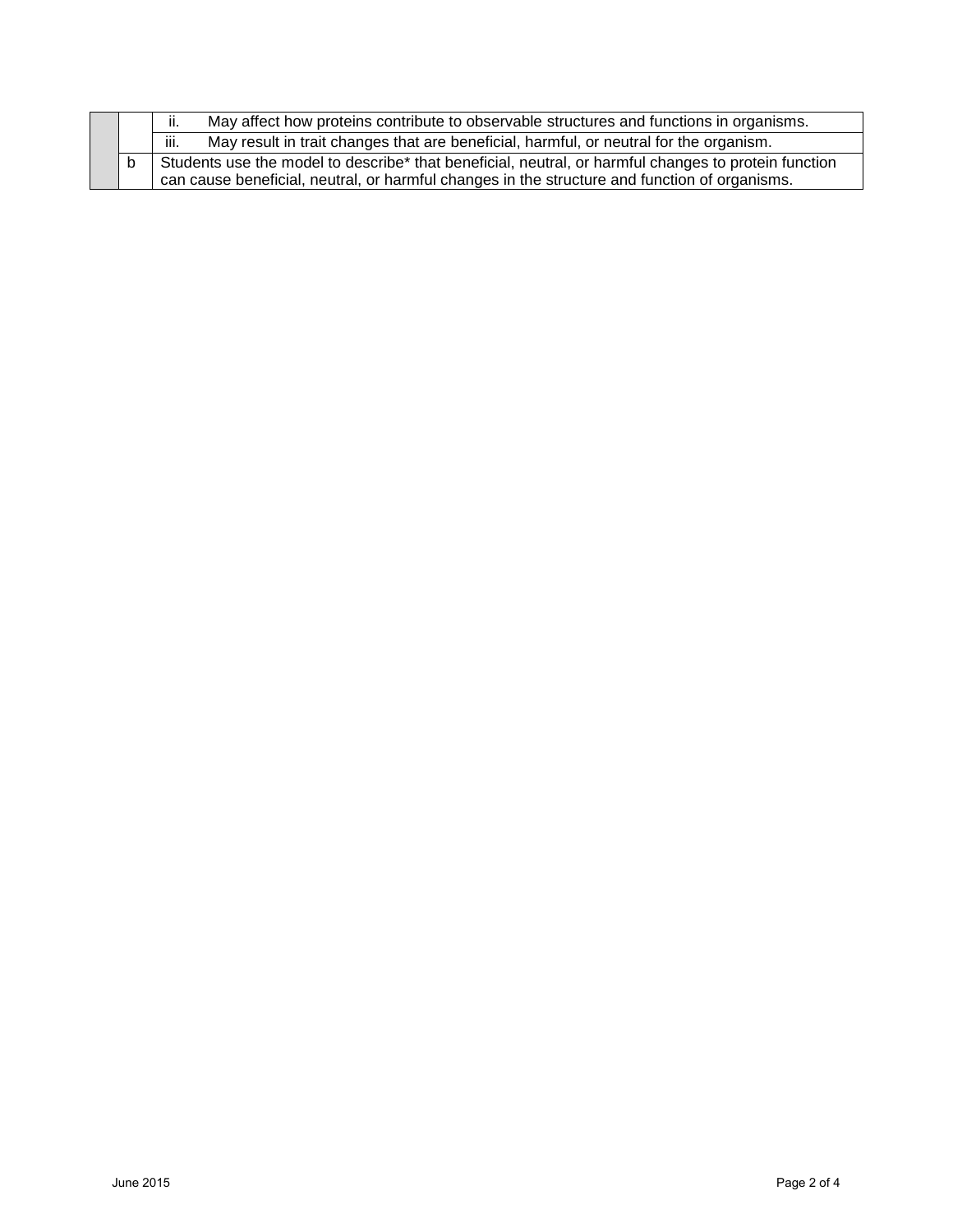|  | May affect how proteins contribute to observable structures and functions in organisms.<br>ii.                                                                                                        |  |
|--|-------------------------------------------------------------------------------------------------------------------------------------------------------------------------------------------------------|--|
|  | iii.<br>May result in trait changes that are beneficial, harmful, or neutral for the organism.                                                                                                        |  |
|  | Students use the model to describe* that beneficial, neutral, or harmful changes to protein function<br>can cause beneficial, neutral, or harmful changes in the structure and function of organisms. |  |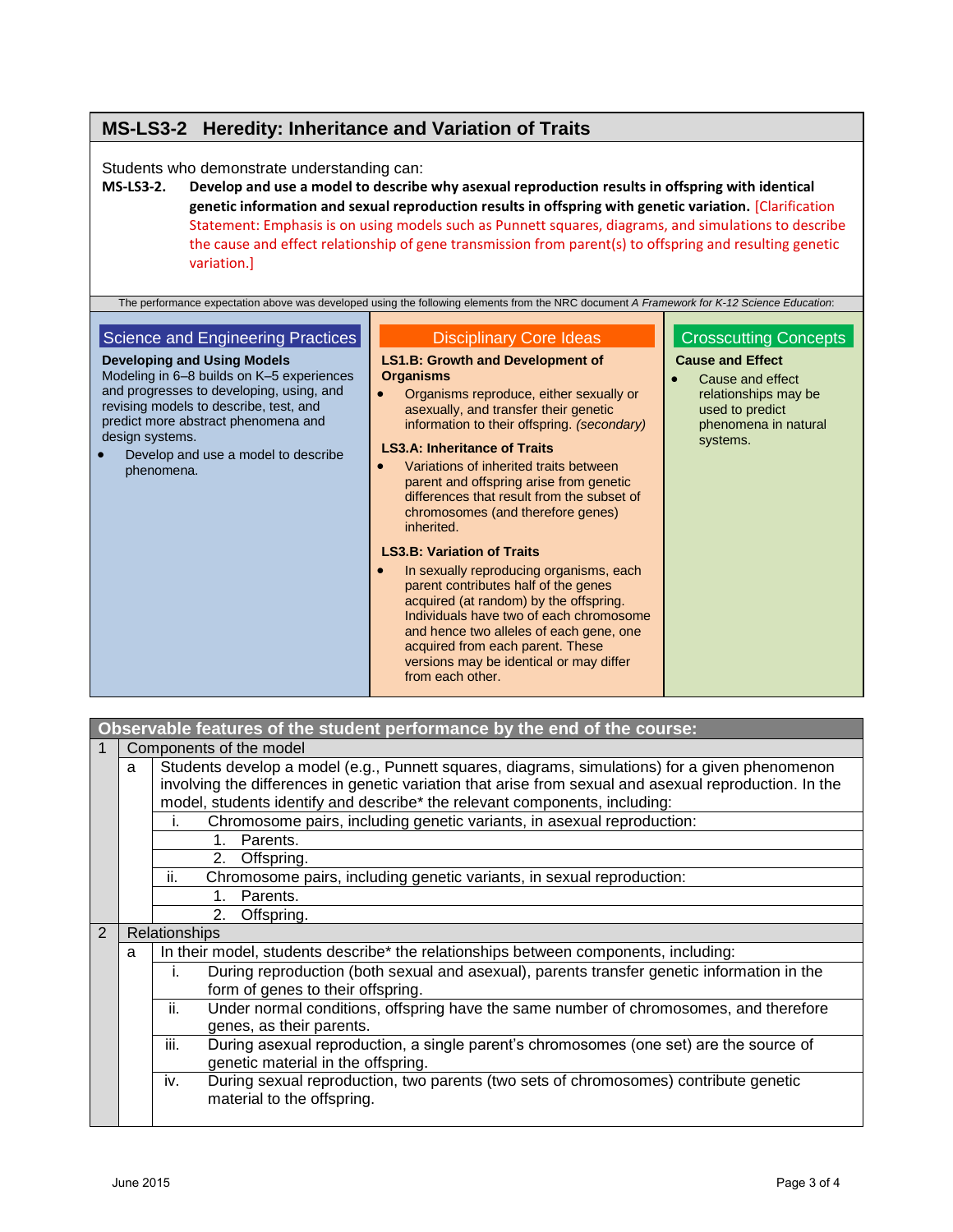# **MS-LS3-2 Heredity: Inheritance and Variation of Traits**

Students who demonstrate understanding can:

**MS-LS3-2. Develop and use a model to describe why asexual reproduction results in offspring with identical genetic information and sexual reproduction results in offspring with genetic variation.** [Clarification Statement: Emphasis is on using models such as Punnett squares, diagrams, and simulations to describe the cause and effect relationship of gene transmission from parent(s) to offspring and resulting genetic variation.]

| The performance expectation above was developed using the following elements from the NRC document A Framework for K-12 Science Education:                                                                                                                                                                                |                                                                                                                                                                                                                                                                                                                                                                                                                                                                                                                                                                                                                                                                                                                                                                                                                                       |                                                                                                                                                            |  |  |  |
|---------------------------------------------------------------------------------------------------------------------------------------------------------------------------------------------------------------------------------------------------------------------------------------------------------------------------|---------------------------------------------------------------------------------------------------------------------------------------------------------------------------------------------------------------------------------------------------------------------------------------------------------------------------------------------------------------------------------------------------------------------------------------------------------------------------------------------------------------------------------------------------------------------------------------------------------------------------------------------------------------------------------------------------------------------------------------------------------------------------------------------------------------------------------------|------------------------------------------------------------------------------------------------------------------------------------------------------------|--|--|--|
| Science and Engineering Practices<br><b>Developing and Using Models</b><br>Modeling in 6–8 builds on K–5 experiences<br>and progresses to developing, using, and<br>revising models to describe, test, and<br>predict more abstract phenomena and<br>design systems.<br>Develop and use a model to describe<br>phenomena. | <b>Disciplinary Core Ideas</b><br><b>LS1.B: Growth and Development of</b><br><b>Organisms</b><br>Organisms reproduce, either sexually or<br>asexually, and transfer their genetic<br>information to their offspring. (secondary)<br><b>LS3.A: Inheritance of Traits</b><br>Variations of inherited traits between<br>parent and offspring arise from genetic<br>differences that result from the subset of<br>chromosomes (and therefore genes)<br>inherited.<br><b>LS3.B: Variation of Traits</b><br>In sexually reproducing organisms, each<br>$\bullet$<br>parent contributes half of the genes<br>acquired (at random) by the offspring.<br>Individuals have two of each chromosome<br>and hence two alleles of each gene, one<br>acquired from each parent. These<br>versions may be identical or may differ<br>from each other. | <b>Crosscutting Concepts</b><br><b>Cause and Effect</b><br>Cause and effect<br>relationships may be<br>used to predict<br>phenomena in natural<br>systems. |  |  |  |

|   | Observable features of the student performance by the end of the course:                                                                                                                                                                                                               |                                                                                                                                       |  |  |  |  |
|---|----------------------------------------------------------------------------------------------------------------------------------------------------------------------------------------------------------------------------------------------------------------------------------------|---------------------------------------------------------------------------------------------------------------------------------------|--|--|--|--|
|   |                                                                                                                                                                                                                                                                                        | Components of the model                                                                                                               |  |  |  |  |
|   | Students develop a model (e.g., Punnett squares, diagrams, simulations) for a given phenomenon<br>involving the differences in genetic variation that arise from sexual and asexual reproduction. In the<br>model, students identify and describe* the relevant components, including: |                                                                                                                                       |  |  |  |  |
|   |                                                                                                                                                                                                                                                                                        | Chromosome pairs, including genetic variants, in asexual reproduction:<br>i.                                                          |  |  |  |  |
|   |                                                                                                                                                                                                                                                                                        | Parents.<br>$1_{-}$                                                                                                                   |  |  |  |  |
|   |                                                                                                                                                                                                                                                                                        | Offspring.<br>2.                                                                                                                      |  |  |  |  |
|   |                                                                                                                                                                                                                                                                                        | ii.<br>Chromosome pairs, including genetic variants, in sexual reproduction:                                                          |  |  |  |  |
|   |                                                                                                                                                                                                                                                                                        | Parents.<br>1.                                                                                                                        |  |  |  |  |
|   | Offspring.<br>2.                                                                                                                                                                                                                                                                       |                                                                                                                                       |  |  |  |  |
| 2 |                                                                                                                                                                                                                                                                                        | <b>Relationships</b>                                                                                                                  |  |  |  |  |
|   | a                                                                                                                                                                                                                                                                                      | In their model, students describe* the relationships between components, including:                                                   |  |  |  |  |
|   |                                                                                                                                                                                                                                                                                        | During reproduction (both sexual and asexual), parents transfer genetic information in the<br>İ.<br>form of genes to their offspring. |  |  |  |  |
|   |                                                                                                                                                                                                                                                                                        | ii.<br>Under normal conditions, offspring have the same number of chromosomes, and therefore<br>genes, as their parents.              |  |  |  |  |
|   |                                                                                                                                                                                                                                                                                        | iii.<br>During asexual reproduction, a single parent's chromosomes (one set) are the source of<br>genetic material in the offspring.  |  |  |  |  |
|   |                                                                                                                                                                                                                                                                                        | During sexual reproduction, two parents (two sets of chromosomes) contribute genetic<br>iv.<br>material to the offspring.             |  |  |  |  |